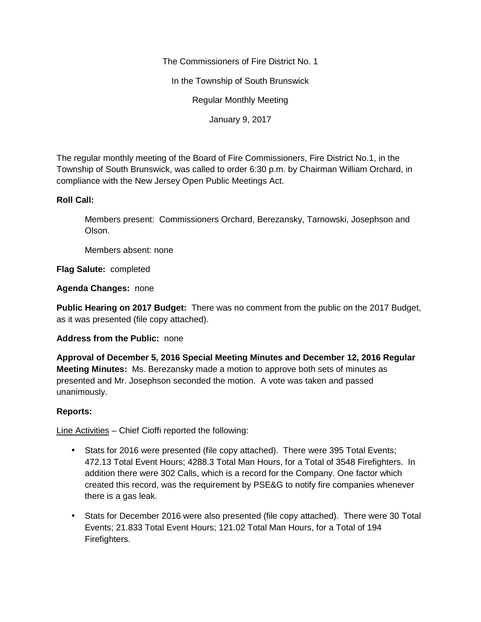The Commissioners of Fire District No. 1

In the Township of South Brunswick

Regular Monthly Meeting

January 9, 2017

The regular monthly meeting of the Board of Fire Commissioners, Fire District No.1, in the Township of South Brunswick, was called to order 6:30 p.m. by Chairman William Orchard, in compliance with the New Jersey Open Public Meetings Act.

## **Roll Call:**

Members present: Commissioners Orchard, Berezansky, Tarnowski, Josephson and Olson.

Members absent: none

**Flag Salute:** completed

**Agenda Changes:** none

**Public Hearing on 2017 Budget:** There was no comment from the public on the 2017 Budget, as it was presented (file copy attached).

# **Address from the Public:** none

**Approval of December 5, 2016 Special Meeting Minutes and December 12, 2016 Regular Meeting Minutes:** Ms. Berezansky made a motion to approve both sets of minutes as presented and Mr. Josephson seconded the motion. A vote was taken and passed unanimously.

# **Reports:**

Line Activities – Chief Cioffi reported the following:

- Stats for 2016 were presented (file copy attached). There were 395 Total Events; 472.13 Total Event Hours; 4288.3 Total Man Hours, for a Total of 3548 Firefighters. In addition there were 302 Calls, which is a record for the Company. One factor which created this record, was the requirement by PSE&G to notify fire companies whenever there is a gas leak.
- Stats for December 2016 were also presented (file copy attached). There were 30 Total Events; 21.833 Total Event Hours; 121.02 Total Man Hours, for a Total of 194 Firefighters.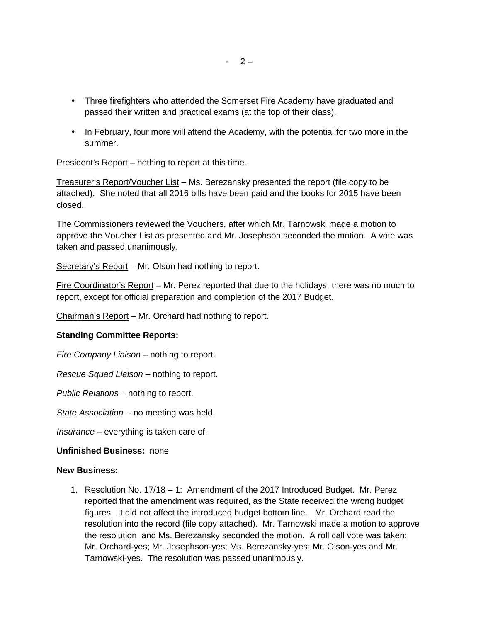- Three firefighters who attended the Somerset Fire Academy have graduated and passed their written and practical exams (at the top of their class).
- In February, four more will attend the Academy, with the potential for two more in the summer.

President's Report – nothing to report at this time.

Treasurer's Report/Voucher List – Ms. Berezansky presented the report (file copy to be attached). She noted that all 2016 bills have been paid and the books for 2015 have been closed.

The Commissioners reviewed the Vouchers, after which Mr. Tarnowski made a motion to approve the Voucher List as presented and Mr. Josephson seconded the motion. A vote was taken and passed unanimously.

Secretary's Report – Mr. Olson had nothing to report.

Fire Coordinator's Report – Mr. Perez reported that due to the holidays, there was no much to report, except for official preparation and completion of the 2017 Budget.

Chairman's Report – Mr. Orchard had nothing to report.

### **Standing Committee Reports:**

*Fire Company Liaison –* nothing to report.

*Rescue Squad Liaison –* nothing to report.

*Public Relations –* nothing to report.

*State Association* - no meeting was held.

*Insurance –* everything is taken care of.

### **Unfinished Business:** none

### **New Business:**

1. Resolution No. 17/18 – 1: Amendment of the 2017 Introduced Budget. Mr. Perez reported that the amendment was required, as the State received the wrong budget figures. It did not affect the introduced budget bottom line. Mr. Orchard read the resolution into the record (file copy attached). Mr. Tarnowski made a motion to approve the resolution and Ms. Berezansky seconded the motion. A roll call vote was taken: Mr. Orchard-yes; Mr. Josephson-yes; Ms. Berezansky-yes; Mr. Olson-yes and Mr. Tarnowski-yes. The resolution was passed unanimously.